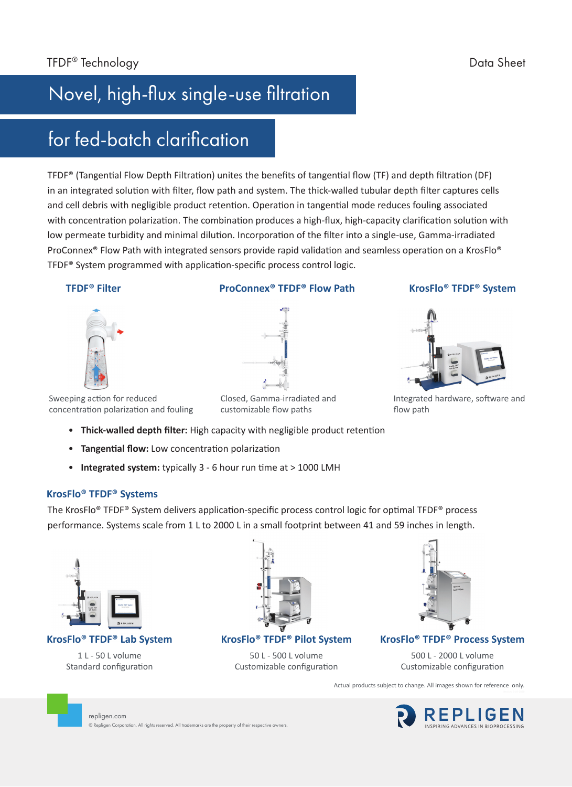# Novel, high-flux single-use filtration

## for fed-batch clarification

TFDF® (Tangential Flow Depth Filtration) unites the benefits of tangential flow (TF) and depth filtration (DF) in an integrated solution with filter, flow path and system. The thick-walled tubular depth filter captures cells and cell debris with negligible product retention. Operation in tangential mode reduces fouling associated with concentration polarization. The combination produces a high-flux, high-capacity clarification solution with low permeate turbidity and minimal dilution. Incorporation of the filter into a single-use, Gamma-irradiated ProConnex<sup>®</sup> Flow Path with integrated sensors provide rapid validation and seamless operation on a KrosFlo<sup>®</sup> TFDF® System programmed with application-specific process control logic.

### **TFDF® Filter**

### **ProConnex® TFDF® Flow Path**

### **KrosFlo® TFDF® System**



Integrated hardware, software and flow path

Sweeping action for reduced concentration polarization and fouling

Closed, Gamma-irradiated and customizable flow paths

- **Thick-walled depth filter:** High capacity with negligible product retention
- **Tangential flow:** Low concentration polarization
- **Integrated system:** typically 3 6 hour run time at > 1000 LMH

© Repligen Corporation. All rights reserved. All trademarks are the property of their respective owners.

### **KrosFlo® TFDF® Systems**

The KrosFlo® TFDF® System delivers application-specific process control logic for optimal TFDF® process performance. Systems scale from 1 L to 2000 L in a small footprint between 41 and 59 inches in length.



**KrosFlo® TFDF® Lab System**

1 L - 50 L volume Standard configuration

repligen.com



**KrosFlo® TFDF® Pilot System**

50 L - 500 L volume Customizable configuration



**KrosFlo® TFDF® Process System**

500 L - 2000 L volume Customizable configuration

Actual products subject to change. All images shown for reference only.